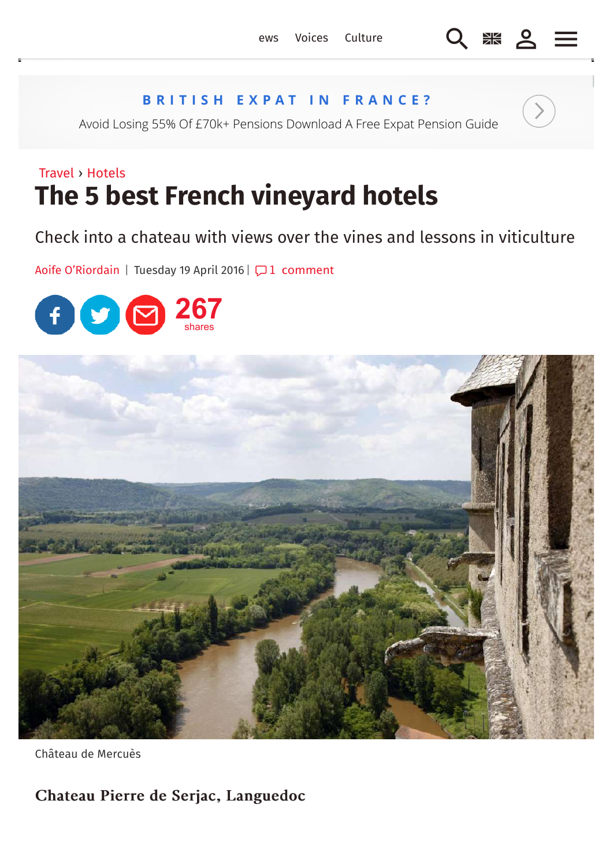## **BRITISH EXPAT IN FRANCE?**

Avoid Losing 55% Of £70k+ Pensions Download A Free Expat Pension Guide

## Travel › Hotels **The 5 best French vineyard hotels**

Check into a chateau with views over the vines and lessons in viticulture

Aoife O'Riordain | Tuesday 19 April 2016 |  $\Box$  1 comment





Château de Mercuès

Chateau Pierre de Serjac, Languedoc Chateau Pierre de Serjac, Languedoc